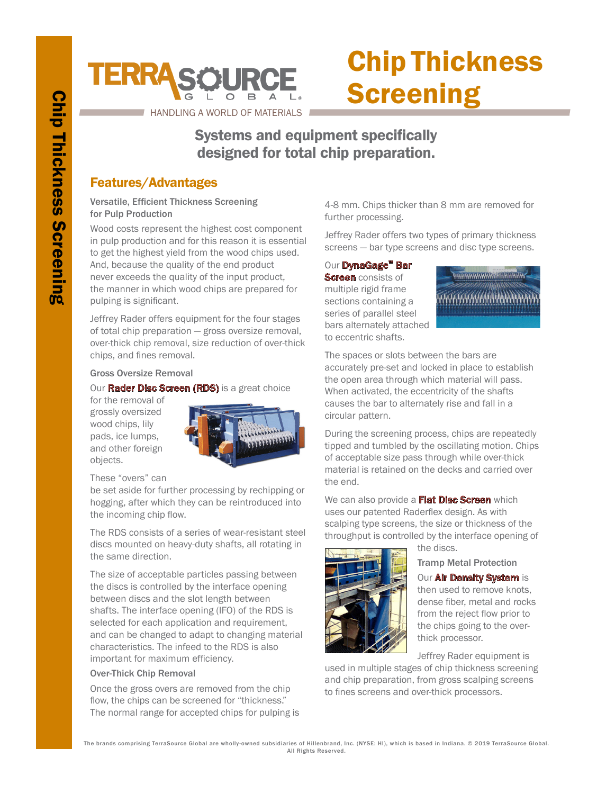# **TERRASCURCE**

# Chip Thickness **Screening**

HANDLING A WORLD OF MATERIALS

# Systems and equipment specifically designed for total chip preparation.

## Features/Advantages

#### Versatile, Efficient Thickness Screening for Pulp Production

Wood costs represent the highest cost component in pulp production and for this reason it is essential to get the highest yield from the wood chips used. And, because the quality of the end product never exceeds the quality of the input product, the manner in which wood chips are prepared for pulping is significant.

Jeffrey Rader offers equipment for the four stages of total chip preparation — gross oversize removal, over-thick chip removal, size reduction of over-thick chips, and fines removal.

#### Gross Oversize Removal

#### Our **Rader Disc Screen (RDS)** is a great choice

for the removal of grossly oversized wood chips, lily pads, ice lumps, and other foreign objects.



These "overs" can

be set aside for further processing by rechipping or hogging, after which they can be reintroduced into the incoming chip flow.

The RDS consists of a series of wear-resistant steel discs mounted on heavy-duty shafts, all rotating in the same direction.

The size of acceptable particles passing between the discs is controlled by the interface opening between discs and the slot length between shafts. The interface opening (IFO) of the RDS is selected for each application and requirement, and can be changed to adapt to changing material characteristics. The infeed to the RDS is also important for maximum efficiency.

#### Over-Thick Chip Removal

Once the gross overs are removed from the chip flow, the chips can be screened for "thickness." The normal range for accepted chips for pulping is 4-8 mm. Chips thicker than 8 mm are removed for further processing.

Jeffrey Rader offers two types of primary thickness screens — bar type screens and disc type screens.

#### Our DynaGage™ Bar

**Screen** consists of multiple rigid frame sections containing a series of parallel steel bars alternately attached to eccentric shafts.



The spaces or slots between the bars are accurately pre-set and locked in place to establish the open area through which material will pass. When activated, the eccentricity of the shafts causes the bar to alternately rise and fall in a circular pattern.

During the screening process, chips are repeatedly tipped and tumbled by the oscillating motion. Chips of acceptable size pass through while over-thick material is retained on the decks and carried over the end.

We can also provide a **Flat Disc Screen** which uses our patented Raderflex design. As with scalping type screens, the size or thickness of the throughput is controlled by the interface opening of



the discs.

Tramp Metal Protection

**Our Air Density System is** then used to remove knots, dense fiber, metal and rocks from the reject flow prior to the chips going to the overthick processor.

Jeffrey Rader equipment is

used in multiple stages of chip thickness screening and chip preparation, from gross scalping screens to fines screens and over-thick processors.

The brands comprising TerraSource Global are wholly-owned subsidiaries of Hillenbrand, Inc. (NYSE: HI), which is based in Indiana. © 2019 TerraSource Global. All Rights Reserved.